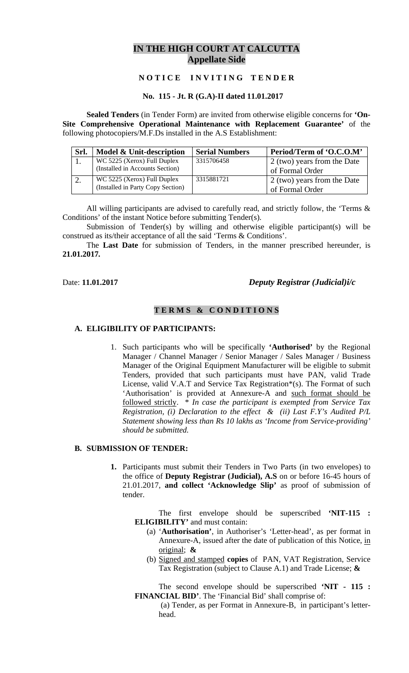# **IN THE HIGH COURT AT CALCUTTA Appellate Side**

# **N O T I C E I N V I T I N G T E N D E R**

#### **No. 115 - Jt. R (G.A)-II dated 11.01.2017**

**Sealed Tenders** (in Tender Form) are invited from otherwise eligible concerns for **'On-Site Comprehensive Operational Maintenance with Replacement Guarantee'** of the following photocopiers/M.F.Ds installed in the A.S Establishment:

|          | Srl. | Model & Unit-description                                         | <b>Serial Numbers</b> | Period/Term of 'O.C.O.M'                       |
|----------|------|------------------------------------------------------------------|-----------------------|------------------------------------------------|
|          |      | WC 5225 (Xerox) Full Duplex<br>(Installed in Accounts Section)   | 3315706458            | 2 (two) years from the Date<br>of Formal Order |
| <u>.</u> |      | WC 5225 (Xerox) Full Duplex<br>(Installed in Party Copy Section) | 3315881721            | 2 (two) years from the Date<br>of Formal Order |

All willing participants are advised to carefully read, and strictly follow, the 'Terms & Conditions' of the instant Notice before submitting Tender(s).

Submission of Tender(s) by willing and otherwise eligible participant(s) will be construed as its/their acceptance of all the said 'Terms & Conditions'.

The **Last Date** for submission of Tenders, in the manner prescribed hereunder, is **21.01.2017***.*

## Date: **11.01.2017** *Deputy Registrar (Judicial)i/c*

## **T E R M S & C O N D I T I O N S**

#### **A. ELIGIBILITY OF PARTICIPANTS:**

1. Such participants who will be specifically **'Authorised'** by the Regional Manager / Channel Manager / Senior Manager / Sales Manager / Business Manager of the Original Equipment Manufacturer will be eligible to submit Tenders, provided that such participants must have PAN, valid Trade License, valid V.A.T and Service Tax Registration\*(s). The Format of such 'Authorisation' is provided at Annexure-A and such format should be followed strictly. \* *In case the participant is exempted from Service Tax Registration, (i) Declaration to the effect & (ii) Last F.Y's Audited P/L Statement showing less than Rs 10 lakhs as 'Income from Service-providing' should be submitted.* 

### **B. SUBMISSION OF TENDER:**

**1.** Participants must submit their Tenders in Two Parts (in two envelopes) to the office of **Deputy Registrar (Judicial), A.S** on or before 16-45 hours of 21.01.2017, **and collect 'Acknowledge Slip'** as proof of submission of tender.

The first envelope should be superscribed **'NIT-115 : ELIGIBILITY'** and must contain:

- (a) '**Authorisation'**, in Authoriser's 'Letter-head', as per format in Annexure-A, issued after the date of publication of this Notice, in original; **&**
- (b) Signed and stamped **copies** of PAN, VAT Registration, Service Tax Registration (subject to Clause A.1) and Trade License; **&**

The second envelope should be superscribed **'NIT - 115 : FINANCIAL BID'**. The 'Financial Bid' shall comprise of:

 (a) Tender, as per Format in Annexure-B, in participant's letterhead.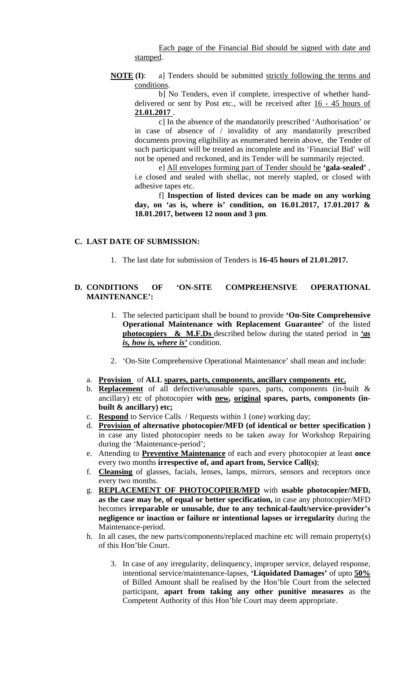Each page of the Financial Bid should be signed with date and stamped.

**NOTE** (I): a] Tenders should be submitted strictly following the terms and conditions.

b] No Tenders, even if complete, irrespective of whether handdelivered or sent by Post etc., will be received after 16 - 45 hours of **21.01.2017** .

c] In the absence of the mandatorily prescribed 'Authorisation' or in case of absence of / invalidity of any mandatorily prescribed documents proving eligibility as enumerated herein above, the Tender of such participant will be treated as incomplete and its 'Financial Bid' will not be opened and reckoned, and its Tender will be summarily rejected.

e] All envelopes forming part of Tender should be **'gala-sealed'** , i.e closed and sealed with shellac, not merely stapled, or closed with adhesive tapes etc.

f] **Inspection of listed devices can be made on any working day, on 'as is, where is' condition, on 16.01.2017, 17.01.2017 & 18.01.2017, between 12 noon and 3 pm**.

#### **C. LAST DATE OF SUBMISSION:**

1. The last date for submission of Tenders is **16-45 hours of 21.01.2017.** 

### **D. CONDITIONS OF 'ON-SITE COMPREHENSIVE OPERATIONAL MAINTENANCE':**

- 1. The selected participant shall be bound to provide **'On-Site Comprehensive Operational Maintenance with Replacement Guarantee'** of the listed **photocopiers & M.F.Ds** described below during the stated period in *'as is, how is, where is'* condition.
- 2. 'On-Site Comprehensive Operational Maintenance' shall mean and include:
- a. **Provision** of **ALL spares, parts, components, ancillary components etc.**
- b. **Replacement** of all defective/unusable spares, parts, components (in-built & ancillary) etc of photocopier **with new, original spares, parts, components (inbuilt & ancillary) etc;**
- c. **Respond** to Service Calls / Requests within 1 (one) working day;
- d. **Provision of alternative photocopier/MFD (of identical or better specification )**  in case any listed photocopier needs to be taken away for Workshop Repairing during the 'Maintenance-period';
- e. Attending to **Preventive Maintenance** of each and every photocopier at least **once** every two months **irrespective of, and apart from, Service Call(s)**;
- f. **Cleansing** of glasses, facials, lenses, lamps, mirrors, sensors and receptors once every two months.
- g. **REPLACEMENT OF PHOTOCOPIER/MFD** with **usable photocopier/MFD, as the case may be, of equal or better specification,** in case any photocopier/MFD becomes **irreparable or unusable, due to any technical-fault/service-provider's negligence or inaction or failure or intentional lapses or irregularity** during the Maintenance-period.
- h. In all cases, the new parts/components/replaced machine etc will remain property(s) of this Hon'ble Court.
	- 3. In case of any irregularity, delinquency, improper service, delayed response, intentional service/maintenance-lapses, **'Liquidated Damages'** of upto **50%** of Billed Amount shall be realised by the Hon'ble Court from the selected participant, **apart from taking any other punitive measures** as the Competent Authority of this Hon'ble Court may deem appropriate.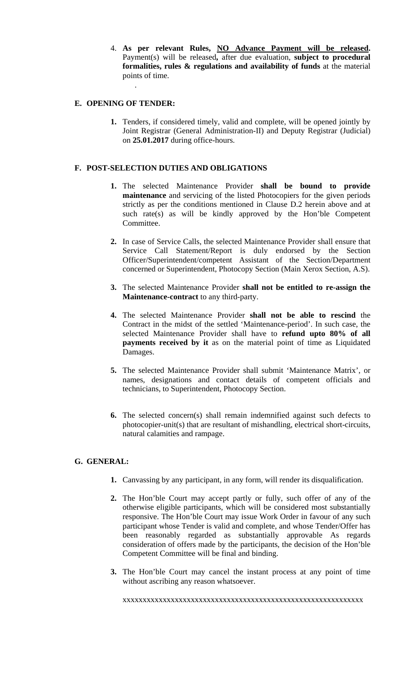4. **As per relevant Rules, NO Advance Payment will be released.**  Payment(s) will be released**,** after due evaluation, **subject to procedural formalities, rules & regulations and availability of funds** at the material points of time.

### **E. OPENING OF TENDER:**

.

**1.** Tenders, if considered timely, valid and complete, will be opened jointly by Joint Registrar (General Administration-II) and Deputy Registrar (Judicial) on **25.01.2017** during office-hours.

# **F. POST-SELECTION DUTIES AND OBLIGATIONS**

- **1.** The selected Maintenance Provider **shall be bound to provide maintenance** and servicing of the listed Photocopiers for the given periods strictly as per the conditions mentioned in Clause D.2 herein above and at such rate(s) as will be kindly approved by the Hon'ble Competent Committee.
- **2.** In case of Service Calls, the selected Maintenance Provider shall ensure that Service Call Statement/Report is duly endorsed by the Section Officer/Superintendent/competent Assistant of the Section/Department concerned or Superintendent, Photocopy Section (Main Xerox Section, A.S).
- **3.** The selected Maintenance Provider **shall not be entitled to re-assign the Maintenance-contract** to any third-party.
- **4.** The selected Maintenance Provider **shall not be able to rescind** the Contract in the midst of the settled 'Maintenance-period'. In such case, the selected Maintenance Provider shall have to **refund upto 80% of all payments received by it** as on the material point of time as Liquidated Damages.
- **5.** The selected Maintenance Provider shall submit 'Maintenance Matrix', or names, designations and contact details of competent officials and technicians, to Superintendent, Photocopy Section.
- **6.** The selected concern(s) shall remain indemnified against such defects to photocopier-unit(s) that are resultant of mishandling, electrical short-circuits, natural calamities and rampage.

# **G. GENERAL:**

- **1.** Canvassing by any participant, in any form, will render its disqualification.
- **2.** The Hon'ble Court may accept partly or fully, such offer of any of the otherwise eligible participants, which will be considered most substantially responsive. The Hon'ble Court may issue Work Order in favour of any such participant whose Tender is valid and complete, and whose Tender/Offer has been reasonably regarded as substantially approvable As regards consideration of offers made by the participants, the decision of the Hon'ble Competent Committee will be final and binding.
- **3.** The Hon'ble Court may cancel the instant process at any point of time without ascribing any reason whatsoever.

xxxxxxxxxxxxxxxxxxxxxxxxxxxxxxxxxxxxxxxxxxxxxxxxxxxxxxxxxxxx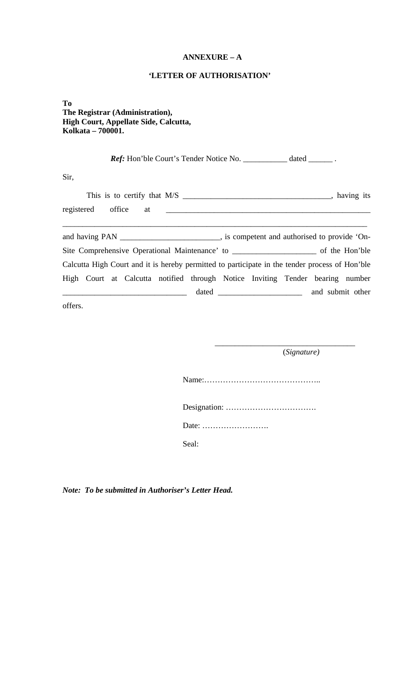## **ANNEXURE – A**

#### **'LETTER OF AUTHORISATION'**

**To The Registrar (Administration), High Court, Appellate Side, Calcutta, Kolkata – 700001.** 

Ref: Hon'ble Court's Tender Notice No. \_\_\_\_\_\_\_\_\_\_ dated \_\_\_\_\_\_. Sir, This is to certify that M/S \_\_\_\_\_\_\_\_\_\_\_\_\_\_\_\_\_\_\_\_\_\_\_\_\_\_\_\_\_\_\_\_\_\_\_\_\_, having its registered office at \_\_\_\_\_\_\_\_\_\_\_\_\_\_\_\_\_\_\_\_\_\_\_\_\_\_\_\_\_\_\_\_\_\_\_\_\_\_\_\_\_\_\_\_\_\_\_\_\_\_\_ \_\_\_\_\_\_\_\_\_\_\_\_\_\_\_\_\_\_\_\_\_\_\_\_\_\_\_\_\_\_\_\_\_\_\_\_\_\_\_\_\_\_\_\_\_\_\_\_\_\_\_\_\_\_\_\_\_\_\_\_\_\_\_\_\_\_\_\_\_\_\_\_\_\_\_\_ and having PAN \_\_\_\_\_\_\_\_\_\_\_\_\_\_\_\_\_\_\_\_\_\_, is competent and authorised to provide 'On-Site Comprehensive Operational Maintenance' to \_\_\_\_\_\_\_\_\_\_\_\_\_\_\_\_\_\_\_\_\_\_ of the Hon'ble Calcutta High Court and it is hereby permitted to participate in the tender process of Hon'ble High Court at Calcutta notified through Notice Inviting Tender bearing number \_\_\_\_\_\_\_\_\_\_\_\_\_\_\_\_\_\_\_\_\_\_\_\_\_\_\_\_\_\_\_ dated \_\_\_\_\_\_\_\_\_\_\_\_\_\_\_\_\_\_\_\_\_ and submit other

 $\overline{\phantom{a}}$  , and the contract of the contract of the contract of the contract of the contract of the contract of the contract of the contract of the contract of the contract of the contract of the contract of the contrac

offers.

(*Signature)* 

Name:……………………………………..

Designation: …………………………….

Date: …………………….

Seal:

*Note: To be submitted in Authoriser's Letter Head.*